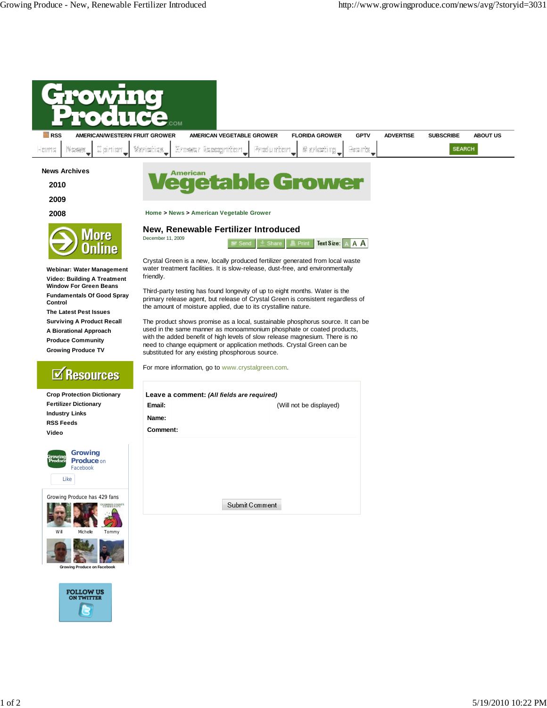